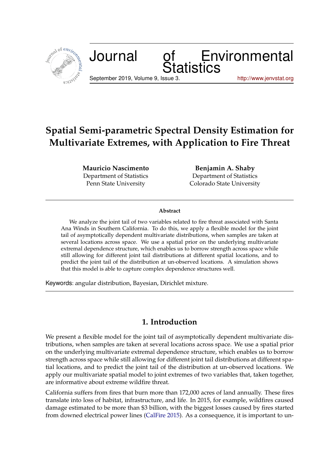



**Statistics** September 2019, Volume 9, Issue 3. <http://www.jenvstat.org>

# **Spatial Semi-parametric Spectral Density Estimation for Multivariate Extremes, with Application to Fire Threat**

**Mauricio Nascimento** Department of Statistics Penn State University

**Benjamin A. Shaby** Department of Statistics Colorado State University

#### **Abstract**

We analyze the joint tail of two variables related to fire threat associated with Santa Ana Winds in Southern California. To do this, we apply a flexible model for the joint tail of asymptotically dependent multivariate distributions, when samples are taken at several locations across space. We use a spatial prior on the underlying multivariate extremal dependence structure, which enables us to borrow strength across space while still allowing for different joint tail distributions at different spatial locations, and to predict the joint tail of the distribution at un-observed locations. A simulation shows that this model is able to capture complex dependence structures well.

Keywords: angular distribution, Bayesian, Dirichlet mixture.

### **1. Introduction**

We present a flexible model for the joint tail of asymptotically dependent multivariate distributions, when samples are taken at several locations across space. We use a spatial prior on the underlying multivariate extremal dependence structure, which enables us to borrow strength across space while still allowing for different joint tail distributions at different spatial locations, and to predict the joint tail of the distribution at un-observed locations. We apply our multivariate spatial model to joint extremes of two variables that, taken together, are informative about extreme wildfire threat.

California suffers from fires that burn more than 172,000 acres of land annually. These fires translate into loss of habitat, infrastructure, and life. In 2015, for example, wildfires caused damage estimated to be more than \$3 billion, with the biggest losses caused by fires started from downed electrical power lines [\(CalFire](#page-15-0) [2015\)](#page-15-0). As a consequence, it is important to un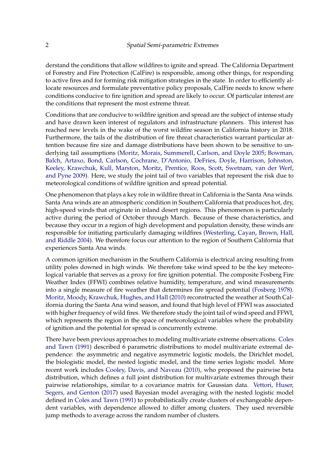derstand the conditions that allow wildfires to ignite and spread. The California Department of Forestry and Fire Protection (CalFire) is responsible, among other things, for responding to active fires and for forming risk mitigation strategies in the state. In order to efficiently allocate resources and formulate preventative policy proposals, CalFire needs to know where conditions conducive to fire ignition and spread are likely to occur. Of particular interest are the conditions that represent the most extreme threat.

Conditions that are conducive to wildfire ignition and spread are the subject of intense study and have drawn keen interest of regulators and infrastructure planners. This interest has reached new levels in the wake of the worst wildfire season in California history in 2018. Furthermore, the tails of the distribution of fire threat characteristics warrant particular attention because fire size and damage distributions have been shown to be sensitive to underlying tail assumptions [\(Moritz, Morais, Summerell, Carlson, and Doyle](#page-16-0) [2005;](#page-16-0) [Bowman,](#page-15-1) [Balch, Artaxo, Bond, Carlson, Cochrane, D'Antonio, DeFries, Doyle, Harrison, Johnston,](#page-15-1) [Keeley, Krawchuk, Kull, Marston, Moritz, Prentice, Roos, Scott, Swetnam, van der Werf,](#page-15-1) [and Pyne](#page-15-1) [2009\)](#page-15-1). Here, we study the joint tail of two variables that represent the risk due to meteorological conditions of wildfire ignition and spread potential.

One phenomenon that plays a key role in wildfire threat in California is the Santa Ana winds. Santa Ana winds are an atmospheric condition in Southern California that produces hot, dry, high-speed winds that originate in inland desert regions. This phenomenon is particularly active during the period of October through March. Because of these characteristics, and because they occur in a region of high development and population density, these winds are responsible for initiating particularly damaging wildfires [\(Westerling, Cayan, Brown, Hall,](#page-17-0) [and Riddle](#page-17-0) [2004\)](#page-17-0). We therefore focus our attention to the region of Southern California that experiences Santa Ana winds.

A common ignition mechanism in the Southern California is electrical arcing resulting from utility poles downed in high winds. We therefore take wind speed to be the key meteorological variable that serves as a proxy for fire ignition potential. The composite Fosberg Fire Weather Index (FFWI) combines relative humidity, temperature, and wind measurements into a single measure of fire weather that determines fire spread potential [\(Fosberg](#page-16-1) [1978\)](#page-16-1). [Moritz, Moody, Krawchuk, Hughes, and Hall](#page-16-2) [\(2010\)](#page-16-2) reconstructed the weather at South California during the Santa Ana wind season, and found that high level of FFWI was associated with higher frequency of wild fires. We therefore study the joint tail of wind speed and FFWI, which represents the region in the space of meteorological variables where the probability of ignition and the potential for spread is concurrently extreme.

There have been previous approaches to modeling multivariate extreme observations. [Coles](#page-15-2) [and Tawn](#page-15-2) [\(1991\)](#page-15-2) described 6 parametric distributions to model multivariate extremal dependence: the asymmetric and negative asymmetric logistic models, the Dirichlet model, the biologistic model, the nested logistic model, and the time series logistic model. More recent work includes [Cooley, Davis, and Naveau](#page-15-3) [\(2010\)](#page-15-3), who proposed the pairwise beta distribution, which defines a full joint distribution for multivariate extremes through their pairwise relationships, similar to a covariance matrix for Gaussian data. [Vettori, Huser,](#page-17-1) [Segers, and Genton](#page-17-1) [\(2017\)](#page-17-1) used Bayesian model averaging with the nested logistic model defined in [Coles and Tawn](#page-15-2) [\(1991\)](#page-15-2) to probabilistically create clusters of exchangeable dependent variables, with dependence allowed to differ among clusters. They used reversible jump methods to average across the random number of clusters.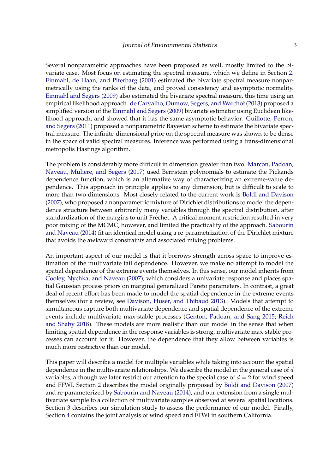Several nonparametric approaches have been proposed as well, mostly limited to the bivariate case. Most focus on estimating the spectral measure, which we define in Section [2.](#page-3-0) [Einmahl, de Haan, and Piterbarg](#page-16-3) [\(2001\)](#page-16-3) estimated the bivariate spectral measure nonparmetrically using the ranks of the data, and proved consistency and asymptotic normality. [Einmahl and Segers](#page-16-4) [\(2009\)](#page-16-4) also estimated the bivariate spectral measure, this time using an empirical likelihood approach. [de Carvalho, Oumow, Segers, and Warchoł](#page-15-4) [\(2013\)](#page-15-4) proposed a simplified version of the [Einmahl and Segers](#page-16-4) [\(2009\)](#page-16-4) bivariate estimator using Euclidean likelihood approach, and showed that it has the same asymptotic behavior. [Guillotte, Perron,](#page-16-5) [and Segers](#page-16-5) [\(2011\)](#page-16-5) proposed a nonparametric Bayesian scheme to estimate the bivariate spectral measure. The infinite-dimensional prior on the spectral measure was shown to be dense in the space of valid spectral measures. Inference was performed using a trans-dimensional metropolis Hastings algorithm.

The problem is considerably more difficult in dimension greater than two. [Marcon, Padoan,](#page-16-6) [Naveau, Muliere, and Segers](#page-16-6) [\(2017\)](#page-16-6) used Bernstein polynomials to estimate the Pickands dependence function, which is an alternative way of characterizing an extreme-value dependence. This approach in principle applies to any dimension, but is difficult to scale to more than two dimensions. Most closely related to the current work is [Boldi and Davison](#page-15-5) [\(2007\)](#page-15-5), who proposed a nonparametric mixture of Dirichlet distributions to model the dependence structure between arbitrarily many variables through the spectral distribution, after standardization of the margins to unit Fréchet. A critical moment restriction resulted in very poor mixing of the MCMC, however, and limited the practicality of the approach. [Sabourin](#page-17-2) [and Naveau](#page-17-2) [\(2014\)](#page-17-2) fit an identical model using a re-parametrization of the Dirichlet mixture that avoids the awkward constraints and associated mixing problems.

An important aspect of our model is that it borrows strength across space to improve estimation of the multivariate tail dependence. However, we make no attempt to model the spatial dependence of the extreme events themselves. In this sense, our model inherits from [Cooley, Nychka, and Naveau](#page-15-6) [\(2007\)](#page-15-6), which considers a univariate response and places spatial Gaussian process priors on marginal generalized Pareto parameters. In contrast, a great deal of recent effort has been made to model the spatial dependence in the extreme events themselves (for a review, see [Davison, Huser, and Thibaud](#page-15-7) [2013\)](#page-15-7). Models that attempt to simultaneous capture both multivariate dependence and spatial dependence of the extreme events include multivariate max-stable processes [\(Genton, Padoan, and Sang](#page-16-7) [2015;](#page-16-7) [Reich](#page-16-8) [and Shaby](#page-16-8) [2018\)](#page-16-8). These models are more realistic than our model in the sense that when limiting spatial dependence in the response variables is strong, multivariate max-stable processes can account for it. However, the dependence that they allow between variables is much more restrictive than our model.

This paper will describe a model for multiple variables while taking into account the spatial dependence in the multivariate relationships. We describe the model in the general case of  $d$ variables, although we later restrict our attention to the special case of  $d = 2$  for wind speed and FFWI. Section [2](#page-3-0) describes the model originally proposed by [Boldi and Davison](#page-15-5) [\(2007\)](#page-15-5) and re-parameterized by [Sabourin and Naveau](#page-17-2) [\(2014\)](#page-17-2), and our extension from a single multivariate sample to a collection of multivariate samples observed at several spatial locations. Section [3](#page-6-0) describes our simulation study to assess the performance of our model. Finally, Section [4](#page-7-0) contains the joint analysis of wind speed and FFWI in southern California.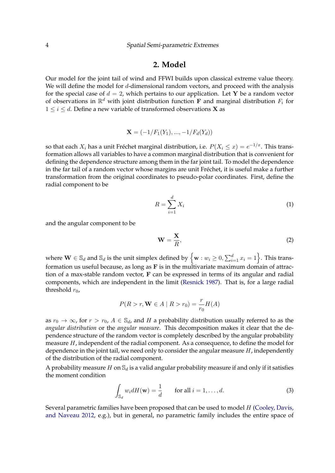### **2. Model**

<span id="page-3-0"></span>Our model for the joint tail of wind and FFWI builds upon classical extreme value theory. We will define the model for d-dimensional random vectors, and proceed with the analysis for the special case of  $d = 2$ , which pertains to our application. Let Y be a random vector of observations in  $\mathbb{R}^d$  with joint distribution function **F** and marginal distribution  $F_i$  for  $1 \leq i \leq d$ . Define a new variable of transformed observations **X** as

$$
\mathbf{X} = (-1/F_1(Y_1), ..., -1/F_d(Y_d))
$$

so that each  $X_i$  has a unit Fréchet marginal distribution, i.e.  $P(X_i \leq x) = e^{-1/x}.$  This transformation allows all variables to have a common marginal distribution that is convenient for defining the dependence structure among them in the far joint tail. To model the dependence in the far tail of a random vector whose margins are unit Fréchet, it is useful make a further transformation from the original coordinates to pseudo-polar coordinates. First, define the radial component to be

<span id="page-3-2"></span>
$$
R = \sum_{i=1}^{d} X_i
$$
 (1)

and the angular component to be

<span id="page-3-3"></span>
$$
\mathbf{W} = \frac{\mathbf{X}}{R},\tag{2}
$$

where  $\mathbf{W}\in\mathbb{S}_d$  and  $\mathbb{S}_d$  is the unit simplex defined by  $\left\{\mathbf{w}: w_i\geq 0, \sum_{i=1}^dx_i=1\right\}.$  This transformation us useful because, as long as  $F$  is in the multivariate maximum domain of attraction of a max-stable random vector, F can be expressed in terms of its angular and radial components, which are independent in the limit [\(Resnick](#page-16-9) [1987\)](#page-16-9). That is, for a large radial threshold  $r_0$ ,

$$
P(R > r, \mathbf{W} \in A \mid R > r_0) = \frac{r}{r_0} H(A)
$$

as  $r_0 \to \infty$ , for  $r > r_0$ ,  $A \in \mathbb{S}_d$ , and H a probability distribution usually referred to as the *angular distribution* or the *angular measure*. This decomposition makes it clear that the dependence structure of the random vector is completely described by the angular probability measure H, independent of the radial component. As a consequence, to define the model for dependence in the joint tail, we need only to consider the angular measure  $H$ , independently of the distribution of the radial component.

A probability measure  $H$  on  $\mathbb{S}_d$  is a valid angular probability measure if and only if it satisfies the moment condition

<span id="page-3-1"></span>
$$
\int_{\mathbb{S}_d} w_i dH(\mathbf{w}) = \frac{1}{d} \quad \text{for all } i = 1, \dots, d.
$$
 (3)

Several parametric families have been proposed that can be used to model H [\(Cooley, Davis,](#page-15-8) [and Naveau](#page-15-8) [2012,](#page-15-8) e.g.), but in general, no parametric family includes the entire space of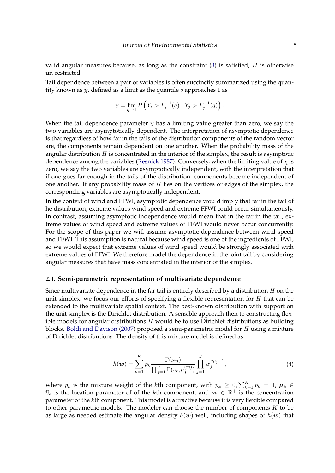valid angular measures because, as long as the constraint  $(3)$  is satisfied, H is otherwise un-restricted.

Tail dependence between a pair of variables is often succinctly summarized using the quantity known as  $\chi$ , defined as a limit as the quantile q approaches 1 as

$$
\chi = \lim_{q \to 1} P\left(Y_i > F_i^{-1}(q) \mid Y_j > F_j^{-1}(q)\right).
$$

When the tail dependence parameter  $\chi$  has a limiting value greater than zero, we say the two variables are asymptotically dependent. The interpretation of asymptotic dependence is that regardless of how far in the tails of the distribution components of the random vector are, the components remain dependent on one another. When the probability mass of the angular distribution  $H$  is concentrated in the interior of the simplex, the result is asymptotic dependence among the variables [\(Resnick](#page-16-9) [1987\)](#page-16-9). Conversely, when the limiting value of  $\chi$  is zero, we say the two variables are asymptotically independent, with the interpretation that if one goes far enough in the tails of the distribution, components become independent of one another. If any probability mass of  $H$  lies on the vertices or edges of the simplex, the corresponding variables are asymptotically independent.

In the context of wind and FFWI, asymptotic dependence would imply that far in the tail of he distribution, extreme values wind speed and extreme FFWI could occur simultaneously. In contrast, assuming asymptotic independence would mean that in the far in the tail, extreme values of wind speed and extreme values of FFWI would never occur concurrently. For the scope of this paper we will assume asymptotic dependence between wind speed and FFWI. This assumption is natural because wind speed is one of the ingredients of FFWI, so we would expect that extreme values of wind speed would be strongly associated with extreme values of FFWI. We therefore model the dependence in the joint tail by considering angular measures that have mass concentrated in the interior of the simplex.

#### **2.1. Semi-parametric representation of multivariate dependence**

Since multivariate dependence in the far tail is entirely described by a distribution  $H$  on the unit simplex, we focus our efforts of specifying a flexible representation for  $H$  that can be extended to the multivariate spatial context. The best-known distribution with support on the unit simplex is the Dirichlet distribution. A sensible approach then to constructing flexible models for angular distributions  $H$  would be to use Dirichlet distributions as building blocks. [Boldi and Davison](#page-15-5) [\(2007\)](#page-15-5) proposed a semi-parametric model for H using a mixture of Dirichlet distributions. The density of this mixture model is defined as

<span id="page-4-0"></span>
$$
h(\mathbf{w}) = \sum_{k=1}^{K} p_k \frac{\Gamma(\nu_m)}{\prod_{j=1}^{J} \Gamma(\nu_m \mu_j^{(m)})} \prod_{j=1}^{J} w_j^{\nu \mu_j - 1},
$$
(4)

where  $p_k$  is the mixture weight of the kth component, with  $p_k \geq 0, \sum_{k=1}^K p_k = 1$ ,  $\mu_k \in$  $\mathbb{S}_d$  is the location parameter of of the kth component, and  $\nu_k \in \mathbb{R}^+$  is the concentration parameter of the kth component. This model is attractive because it is very flexible compared to other parametric models. The modeler can choose the number of components  $K$  to be as large as needed estimate the angular density  $h(w)$  well, including shapes of  $h(w)$  that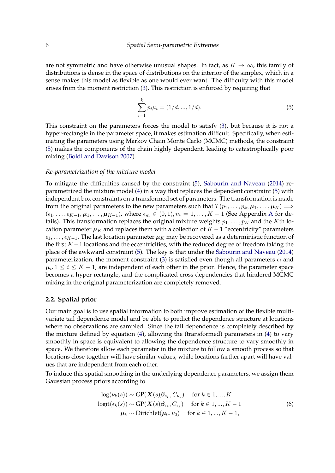are not symmetric and have otherwise unusual shapes. In fact, as  $K \to \infty$ , this family of distributions is dense in the space of distributions on the interior of the simplex, which in a sense makes this model as flexible as one would ever want. The difficulty with this model arises from the moment restriction [\(3\)](#page-3-1). This restriction is enforced by requiring that

<span id="page-5-0"></span>
$$
\sum_{i=1}^{k} p_i \mu_i = (1/d, ..., 1/d).
$$
 (5)

This constraint on the parameters forces the model to satisfy [\(3\)](#page-3-1), but because it is not a hyper-rectangle in the parameter space, it makes estimation difficult. Specifically, when estimating the parameters using Markov Chain Monte Carlo (MCMC) methods, the constraint [\(5\)](#page-5-0) makes the components of the chain highly dependent, leading to catastrophically poor mixing [\(Boldi and Davison](#page-15-5) [2007\)](#page-15-5).

#### *Re-parametrization of the mixture model*

To mitigate the difficulties caused by the constraint [\(5\)](#page-5-0), [Sabourin and Naveau](#page-17-2) [\(2014\)](#page-17-2) reparametrized the mixture model [\(4\)](#page-4-0) in a way that replaces the dependent constraint [\(5\)](#page-5-0) with independent box constraints on a transformed set of parameters. The transformation is made from the original parameters to the new parameters such that  $T(p_1, \ldots, p_k, \mu_1, \ldots, \mu_K) \Longrightarrow$  $(\epsilon_1, \ldots, \epsilon_{K-1}, \mu_1, \ldots, \mu_{K-1})$ , where  $\epsilon_m \in (0, 1), m = 1, \ldots, K-1$  (See [A](#page-14-0)ppendix A for details). This transformation replaces the original mixture weights  $p_1, \ldots, p_K$  and the Kth location parameter  $\mu_K$  and replaces them with a collection of  $K - 1$  "eccentricity" parameters  $\epsilon_1, \ldots, \epsilon_{K-1}$ . The last location parameter  $\mu_K$  may be recovered as a deterministic function of the first  $K - 1$  locations and the eccentricities, with the reduced degree of freedom taking the place of the awkward constraint [\(5\)](#page-5-0). The key is that under the [Sabourin and Naveau](#page-17-2) [\(2014\)](#page-17-2) parameterization, the moment constraint [\(3\)](#page-3-1) is satisfied even though all parameters  $\epsilon_i$  and  $\mu_i, 1 \leq i \leq K-1$ , are independent of each other in the prior. Hence, the parameter space becomes a hyper-rectangle, and the complicated cross dependencies that hindered MCMC mixing in the original parameterization are completely removed.

#### **2.2. Spatial prior**

Our main goal is to use spatial information to both improve estimation of the flexible multivariate tail dependence model and be able to predict the dependence structure at locations where no observations are sampled. Since the tail dependence is completely described by the mixture defined by equation [\(4\)](#page-4-0), allowing the (transformed) parameters in [\(4\)](#page-4-0) to vary smoothly in space is equivalent to allowing the dependence structure to vary smoothly in space. We therefore allow each parameter in the mixture to follow a smooth process so that locations close together will have similar values, while locations farther apart will have values that are independent from each other.

To induce this spatial smoothing in the underlying dependence parameters, we assign them Gaussian process priors according to

<span id="page-5-1"></span>
$$
\log(\nu_k(s)) \sim GP(\mathbf{X}(s)\beta_{\nu_k}, C_{\nu_k}) \quad \text{for } k \in 1, ..., K
$$
  

$$
\logit(\epsilon_k(s)) \sim GP(\mathbf{X}(s)\beta_{\epsilon_k}, C_{\epsilon_k}) \quad \text{for } k \in 1, ..., K-1
$$
  

$$
\mu_k \sim Dirichlet(\mu_0, \nu_0) \quad \text{for } k \in 1, ..., K-1,
$$
 (6)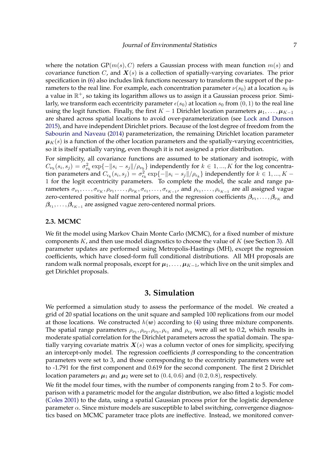where the notation  $GP(m(s), C)$  refers a Gaussian process with mean function  $m(s)$  and covariance function  $C$ , and  $\mathbf{X}(s)$  is a collection of spatially-varying covariates. The prior specification in [\(6\)](#page-5-1) also includes link functions necessary to transform the support of the parameters to the real line. For example, each concentration parameter  $\nu(s_0)$  at a location  $s_0$  is a value in  $\mathbb{R}^+$ , so taking its logarithm allows us to assign it a Gaussian process prior. Similarly, we transform each eccentricity parameter  $\epsilon(s_0)$  at location  $s_0$  from  $(0, 1)$  to the real line using the logit function. Finally, the first  $K - 1$  Dirichlet location parameters  $\mu_1, \ldots, \mu_{K-1}$ are shared across spatial locations to avoid over-parameterization (see [Lock and Dunson](#page-16-10) [2015\)](#page-16-10), and have independent Dirichlet priors. Because of the lost degree of freedom from the [Sabourin and Naveau](#page-17-2) [\(2014\)](#page-17-2) parameterization, the remaining Dirichlet location parameter  $\mu$ <sub>K</sub>(s) is a function of the other location parameters and the spatially-varying eccentricities, so it is itself spatially varying, even though it is not assigned a prior distribution.

For simplicity, all covariance functions are assumed to be stationary and isotropic, with  $C_{\nu_k}(s_i,s_j) = \sigma_{\nu_k}^2 \exp\{-\|s_i-s_j\|/\rho_{\nu_k}\}\$  independently for  $k \in 1,...,K$  for the log concentration parameters and  $C_{\epsilon_k}(s_i,s_j) = \sigma_{\epsilon_k}^2 \exp\{-\|s_i-s_j\|/\rho_{\epsilon_k}\}\$  independently for  $k \in 1,...,K-1$ 1 for the logit eccentricity parameters. To complete the model, the scale and range parameters  $\sigma_{\nu_1},\ldots,\sigma_{\nu_K},\rho_{\nu_1},\ldots,\rho_{\nu_K},\sigma_{\epsilon_1},\ldots,\sigma_{\epsilon_{K-1}}$ , and  $\rho_{\epsilon_1},\ldots,\rho_{\epsilon_{K-1}}$  are all assigned vague zero-centered positive half normal priors, and the regression coefficients  $\beta_{\nu_1},\ldots,\beta_{\nu_K}$  and  $\beta_{\epsilon_1}, \ldots, \beta_{\epsilon_{K-1}}$  are assigned vague zero-centered normal priors.

#### **2.3. MCMC**

We fit the model using Markov Chain Monte Carlo (MCMC), for a fixed number of mixture components  $K$ , and then use model diagnostics to choose the value of  $K$  (see Section [3\)](#page-6-0). All parameter updates are performed using Metropolis-Hastings (MH), except the regression coefficients, which have closed-form full conditional distributions. All MH proposals are random walk normal proposals, except for  $\mu_1, \ldots, \mu_{K-1}$ , which live on the unit simplex and get Dirichlet proposals.

### **3. Simulation**

<span id="page-6-0"></span>We performed a simulation study to assess the performance of the model. We created a grid of 20 spatial locations on the unit square and sampled 100 replications from our model at those locations. We constructed  $h(w)$  according to [\(4\)](#page-4-0) using three mixture components. The spatial range parameters  $\rho_{\nu_1}, \rho_{\nu_2}, \rho_{\nu_3}, \rho_{\epsilon_1}$  and  $\rho_{\epsilon_2}$  were all set to 0.2, which results in moderate spatial correlation for the Dirichlet parameters across the spatial domain. The spatially varying covariate matrix  $X(s)$  was a column vector of ones for simplicity, specifying an intercept-only model. The regression coefficients  $\beta$  corresponding to the concentration parameters were set to 3, and those corresponding to the eccentricity parameters were set to -1.791 for the first component and 0.619 for the second component. The first 2 Dirichlet location parameters  $\mu_1$  and  $\mu_2$  were set to (0.4, 0.6) and (0.2, 0.8), respectively.

We fit the model four times, with the number of components ranging from 2 to 5. For comparison with a parametric model for the angular distribution, we also fitted a logistic model [\(Coles](#page-15-9) [2001\)](#page-15-9) to the data, using a spatial Gaussian process prior for the logistic dependence parameter  $\alpha$ . Since mixture models are susceptible to label switching, convergence diagnostics based on MCMC parameter trace plots are ineffective. Instead, we monitored conver-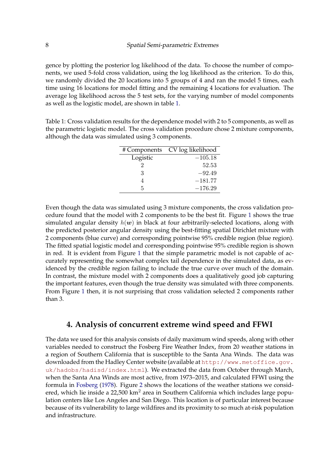gence by plotting the posterior log likelihood of the data. To choose the number of components, we used 5-fold cross validation, using the log likelihood as the criterion. To do this, we randomly divided the 20 locations into 5 groups of 4 and ran the model 5 times, each time using 16 locations for model fitting and the remaining 4 locations for evaluation. The average log likelihood across the 5 test sets, for the varying number of model components as well as the logistic model, are shown in table [1.](#page-7-1)

<span id="page-7-1"></span>Table 1: Cross validation results for the dependence model with 2 to 5 components, as well as the parametric logistic model. The cross validation procedure chose 2 mixture components, although the data was simulated using 3 components.

| # Components | CV log likelihood |
|--------------|-------------------|
| Logistic     | $-105.18$         |
|              | 52.53             |
| 3            | $-92.49$          |
|              | $-181.77$         |
| 5            | $-176.29$         |

Even though the data was simulated using 3 mixture components, the cross validation procedure found that the model with 2 components to be the best fit. Figure [1](#page-8-0) shows the true simulated angular density  $h(w)$  in black at four arbitrarily-selected locations, along with the predicted posterior angular density using the best-fitting spatial Dirichlet mixture with 2 components (blue curve) and corresponding pointwise 95% credible region (blue region). The fitted spatial logistic model and corresponding pointwise 95% credible region is shown in red. It is evident from Figure [1](#page-8-0) that the simple parametric model is not capable of accurately representing the somewhat complex tail dependence in the simulated data, as evidenced by the credible region failing to include the true curve over much of the domain. In contrast, the mixture model with 2 components does a qualitatively good job capturing the important features, even though the true density was simulated with three components. From Figure [1](#page-8-0) then, it is not surprising that cross validation selected 2 components rather than 3.

### **4. Analysis of concurrent extreme wind speed and FFWI**

<span id="page-7-0"></span>The data we used for this analysis consists of daily maximum wind speeds, along with other variables needed to construct the Fosberg Fire Weather Index, from 20 weather stations in a region of Southern California that is susceptible to the Santa Ana Winds. The data was downloaded from the Hadley Center website (available at [http://www.metoffice.gov.](http://www.metoffice.gov.uk/hadobs/hadisd/index.html) [uk/hadobs/hadisd/index.html](http://www.metoffice.gov.uk/hadobs/hadisd/index.html)). We extracted the data from October through March, when the Santa Ana Winds are most active, from 1973–2015, and calculated FFWI using the formula in [Fosberg](#page-16-1) [\(1978\)](#page-16-1). Figure [2](#page-9-0) shows the locations of the weather stations we considered, which lie inside a 22,500 km<sup>2</sup> area in Southern California which includes large population centers like Los Angeles and San Diego. This location is of particular interest because because of its vulnerability to large wildfires and its proximity to so much at-risk population and infrastructure.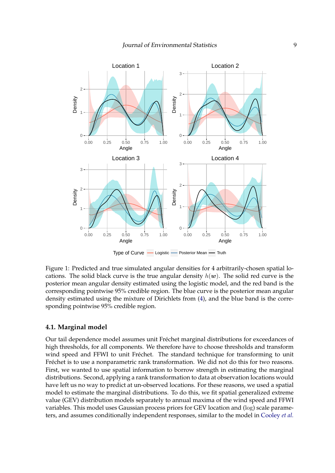<span id="page-8-0"></span>

Figure 1: Predicted and true simulated angular densities for 4 arbitrarily-chosen spatial locations. The solid black curve is the true angular density  $h(w)$ . The solid red curve is the posterior mean angular density estimated using the logistic model, and the red band is the corresponding pointwise 95% credible region. The blue curve is the posterior mean angular density estimated using the mixture of Dirichlets from [\(4\)](#page-4-0), and the blue band is the corresponding pointwise 95% credible region.

#### **4.1. Marginal model**

Our tail dependence model assumes unit Fréchet marginal distributions for exceedances of high thresholds, for all components. We therefore have to choose thresholds and transform wind speed and FFWI to unit Fréchet. The standard technique for transforming to unit Fréchet is to use a nonparametric rank transformation. We did not do this for two reasons. First, we wanted to use spatial information to borrow strength in estimating the marginal distributions. Second, applying a rank transformation to data at observation locations would have left us no way to predict at un-observed locations. For these reasons, we used a spatial model to estimate the marginal distributions. To do this, we fit spatial generalized extreme value (GEV) distribution models separately to annual maxima of the wind speed and FFWI variables. This model uses Gaussian process priors for GEV location and (log) scale parameters, and assumes conditionally independent responses, similar to the model in [Cooley](#page-15-6) *et al.*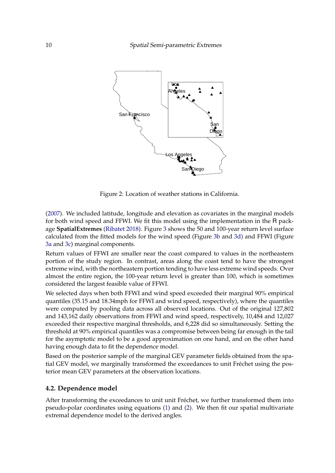<span id="page-9-0"></span>

Figure 2: Location of weather stations in California.

[\(2007\)](#page-15-6). We included latitude, longitude and elevation as covariates in the marginal models for both wind speed and FFWI. We fit this model using the implementation in the R package **SpatialExtremes** [\(Ribatet](#page-16-11) [2018\)](#page-16-11). Figure [3](#page-10-0) shows the 50 and 100-year return level surface calculated from the fitted models for the wind speed (Figure [3b](#page-10-0) and [3d\)](#page-10-0) and FFWI (Figure [3a](#page-10-0) and [3c\)](#page-10-0) marginal components.

Return values of FFWI are smaller near the coast compared to values in the northeastern portion of the study region. In contrast, areas along the coast tend to have the strongest extreme wind, with the northeastern portion tending to have less extreme wind speeds. Over almost the entire region, the 100-year return level is greater than 100, which is sometimes considered the largest feasible value of FFWI.

We selected days when both FFWI and wind speed exceeded their marginal 90% empirical quantiles (35.15 and 18.34mph for FFWI and wind speed, respectively), where the quantiles were computed by pooling data across all observed locations. Out of the original 127,802 and 143,162 daily observations from FFWI and wind speed, respectively, 10,484 and 12,027 exceeded their respective marginal thresholds, and 6,228 did so simultaneously. Setting the threshold at 90% empirical quantiles was a compromise between being far enough in the tail for the asymptotic model to be a good approximation on one hand, and on the other hand having enough data to fit the dependence model.

Based on the posterior sample of the marginal GEV parameter fields obtained from the spatial GEV model, we marginally transformed the exceedances to unit Fréchet using the posterior mean GEV parameters at the observation locations.

#### **4.2. Dependence model**

After transforming the exceedances to unit unit Fréchet, we further transformed them into pseudo-polar coordinates using equations [\(1\)](#page-3-2) and [\(2\)](#page-3-3). We then fit our spatial multivariate extremal dependence model to the derived angles.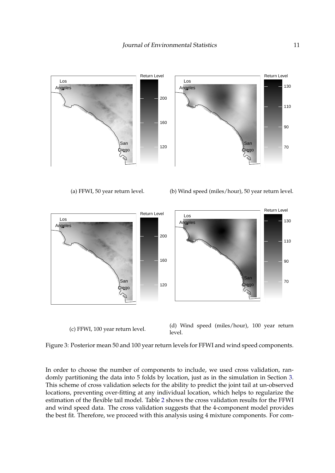<span id="page-10-0"></span>

(a) FFWI, 50 year return level.

(b) Wind speed (miles/hour), 50 year return level.



(c) FFWI, 100 year return level.

(d) Wind speed (miles/hour), 100 year return level.

Figure 3: Posterior mean 50 and 100 year return levels for FFWI and wind speed components.

In order to choose the number of components to include, we used cross validation, randomly partitioning the data into 5 folds by location, just as in the simulation in Section [3.](#page-6-0) This scheme of cross validation selects for the ability to predict the joint tail at un-observed locations, preventing over-fitting at any individual location, which helps to regularize the estimation of the flexible tail model. Table [2](#page-11-0) shows the cross validation results for the FFWI and wind speed data. The cross validation suggests that the 4-component model provides the best fit. Therefore, we proceed with this analysis using 4 mixture components. For com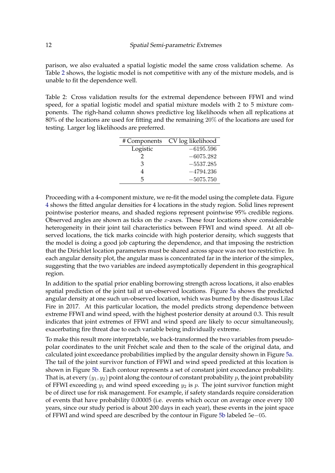parison, we also evaluated a spatial logistic model the same cross validation scheme. As Table [2](#page-11-0) shows, the logistic model is not competitive with any of the mixture models, and is unable to fit the dependence well.

<span id="page-11-0"></span>Table 2: Cross validation results for the extremal dependence between FFWI and wind speed, for a spatial logistic model and spatial mixture models with 2 to 5 mixture components. The righ-hand column shows predictive log likelihoods when all replications at 80% of the locations are used for fitting and the remaining 20% of the locations are used for testing. Larger log likelihoods are preferred.

| # Components | CV log likelihood |
|--------------|-------------------|
| Logistic     | $-6195.596$       |
|              | $-6075.282$       |
| З            | $-5537.285$       |
|              | $-4794.236$       |
| 5            | $-5075.750$       |

Proceeding with a 4-component mixture, we re-fit the model using the complete data. Figure [4](#page-12-0) shows the fitted angular densities for 4 locations in the study region. Solid lines represent pointwise posterior means, and shaded regions represent pointwise 95% credible regions. Observed angles are shown as ticks on the  $x$ -axes. These four locations show considerable heterogeneity in their joint tail characteristics between FFWI and wind speed. At all observed locations, the tick marks coincide with high posterior density, which suggests that the model is doing a good job capturing the dependence, and that imposing the restriction that the Dirichlet location parameters must be shared across space was not too restrictive. In each angular density plot, the angular mass is concentrated far in the interior of the simplex, suggesting that the two variables are indeed asymptotically dependent in this geographical region.

In addition to the spatial prior enabling borrowing strength across locations, it also enables spatial prediction of the joint tail at un-observed locations. Figure [5a](#page-13-0) shows the predicted angular density at one such un-observed location, which was burned by the disastrous Lilac Fire in 2017. At this particular location, the model predicts strong dependence between extreme FFWI and wind speed, with the highest posterior density at around 0.3. This result indicates that joint extremes of FFWI and wind speed are likely to occur simultaneously, exacerbating fire threat due to each variable being individually extreme.

To make this result more interpretable, we back-transformed the two variables from pseudopolar coordinates to the unit Fréchet scale and then to the scale of the original data, and calculated joint exceedance probabilities implied by the angular density shown in Figure [5a.](#page-13-0) The tail of the joint survivor function of FFWI and wind speed predicted at this location is shown in Figure [5b.](#page-13-0) Each contour represents a set of constant joint exceedance probability. That is, at every  $(y_1, y_2)$  point along the contour of constant probability p, the joint probability of FFWI exceeding  $y_1$  and wind speed exceeding  $y_2$  is p. The joint survivor function might be of direct use for risk management. For example, if safety standards require consideration of events that have probability 0.00005 (i.e. events which occur on average once every 100 years, since our study period is about 200 days in each year), these events in the joint space of FFWI and wind speed are described by the contour in Figure [5b](#page-13-0) labeled 5e−05.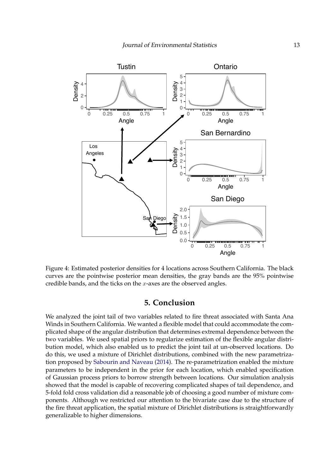<span id="page-12-0"></span>

Figure 4: Estimated posterior densities for 4 locations across Southern California. The black curves are the pointwise posterior mean densities, the gray bands are the 95% pointwise credible bands, and the ticks on the  $x$ -axes are the observed angles.

### **5. Conclusion**

We analyzed the joint tail of two variables related to fire threat associated with Santa Ana Winds in Southern California. We wanted a flexible model that could accommodate the complicated shape of the angular distribution that determines extremal dependence between the two variables. We used spatial priors to regularize estimation of the flexible angular distribution model, which also enabled us to predict the joint tail at un-observed locations. Do do this, we used a mixture of Dirichlet distributions, combined with the new parametrization proposed by [Sabourin and Naveau](#page-17-2) [\(2014\)](#page-17-2). The re-parametrization enabled the mixture parameters to be independent in the prior for each location, which enabled specification of Gaussian process priors to borrow strength between locations. Our simulation analysis showed that the model is capable of recovering complicated shapes of tail dependence, and 5-fold fold cross validation did a reasonable job of choosing a good number of mixture components. Although we restricted our attention to the bivariate case due to the structure of the fire threat application, the spatial mixture of Dirichlet distributions is straightforwardly generalizable to higher dimensions.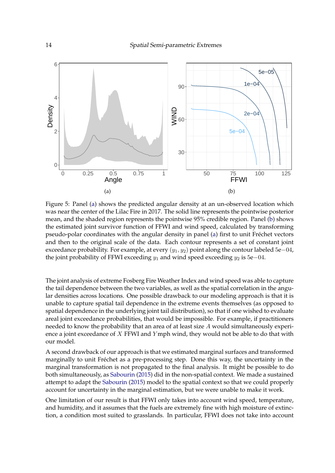<span id="page-13-0"></span>

Figure 5: Panel [\(a\)](#page-13-0) shows the predicted angular density at an un-observed location which was near the center of the Lilac Fire in 2017. The solid line represents the pointwise posterior mean, and the shaded region represents the pointwise 95% credible region. Panel [\(b\)](#page-13-0) shows the estimated joint survivor function of FFWI and wind speed, calculated by transforming pseudo-polar coordinates with the angular density in panel [\(a\)](#page-13-0) first to unit Fréchet vectors and then to the original scale of the data. Each contour represents a set of constant joint exceedance probability. For example, at every  $(y_1, y_2)$  point along the contour labeled 5e−04, the joint probability of FFWI exceeding  $y_1$  and wind speed exceeding  $y_2$  is 5e−04.

The joint analysis of extreme Fosberg Fire Weather Index and wind speed was able to capture the tail dependence between the two variables, as well as the spatial correlation in the angular densities across locations. One possible drawback to our modeling approach is that it is unable to capture spatial tail dependence in the extreme events themselves (as opposed to spatial dependence in the underlying joint tail distribution), so that if one wished to evaluate areal joint exceedance probabilities, that would be impossible. For example, if practitioners needed to know the probability that an area of at least size A would simultaneously experience a joint exceedance of  $X$  FFWI and  $Y$ mph wind, they would not be able to do that with our model.

A second drawback of our approach is that we estimated marginal surfaces and transformed marginally to unit Fréchet as a pre-processing step. Done this way, the uncertainty in the marginal transformation is not propagated to the final analysis. It might be possible to do both simultaneously, as [Sabourin](#page-17-3) [\(2015\)](#page-17-3) did in the non-spatial context. We made a sustained attempt to adapt the [Sabourin](#page-17-3) [\(2015\)](#page-17-3) model to the spatial context so that we could properly account for uncertainty in the marginal estimation, but we were unable to make it work.

One limitation of our result is that FFWI only takes into account wind speed, temperature, and humidity, and it assumes that the fuels are extremely fine with high moisture of extinction, a condition most suited to grasslands. In particular, FFWI does not take into account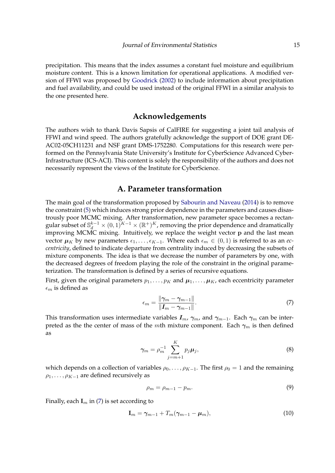precipitation. This means that the index assumes a constant fuel moisture and equilibrium moisture content. This is a known limitation for operational applications. A modified version of FFWI was proposed by [Goodrick](#page-16-12) [\(2002\)](#page-16-12) to include information about precipitation and fuel availability, and could be used instead of the original FFWI in a similar analysis to the one presented here.

### **Acknowledgements**

The authors wish to thank Davis Sapsis of CalFIRE for suggesting a joint tail analysis of FFWI and wind speed. The authors gratefully acknowledge the support of DOE grant DE-AC02-05CH11231 and NSF grant DMS-1752280. Computations for this research were performed on the Pennsylvania State University's Institute for CyberScience Advanced Cyber-Infrastructure (ICS-ACI). This content is solely the responsibility of the authors and does not necessarily represent the views of the Institute for CyberScience.

### **A. Parameter transformation**

<span id="page-14-0"></span>The main goal of the transformation proposed by [Sabourin and Naveau](#page-17-2) [\(2014\)](#page-17-2) is to remove the constraint [\(5\)](#page-5-0) which induces strong prior dependence in the parameters and causes disastrously poor MCMC mixing. After transformation, new parameter space becomes a rectangular subset of  $\mathbb{S}_d^{k-1} \times (0,1)^{K-1} \times (\mathbb{R}^+)^K$ , removing the prior dependence and dramatically improving MCMC mixing. Intuitively, we replace the weight vector p and the last mean vector  $\mu_K$  by new parameters  $\epsilon_1, \ldots, \epsilon_{K-1}$ . Where each  $\epsilon_m \in (0,1)$  is referred to as an *eccentricity*, defined to indicate departure from centrality induced by decreasing the subsets of mixture components. The idea is that we decrease the number of parameters by one, with the decreased degrees of freedom playing the role of the constraint in the original parameterization. The transformation is defined by a series of recursive equations.

First, given the original parameters  $p_1, \ldots, p_K$  and  $\mu_1, \ldots, \mu_K$ , each eccentricity parameter  $\epsilon_m$  is defined as

<span id="page-14-1"></span>
$$
\epsilon_m = \frac{\|\gamma_m - \gamma_{m-1}\|}{\|I_m - \gamma_{m-1}\|}.\tag{7}
$$

This transformation uses intermediate variables  $I_m$ ,  $\gamma_m$ , and  $\gamma_{m-1}$ . Each  $\gamma_m$  can be interpreted as the the center of mass of the mth mixture component. Each  $\gamma_m$  is then defined as

$$
\gamma_m = \rho_m^{-1} \sum_{j=m+1}^K p_j \mu_j,\tag{8}
$$

which depends on a collection of variables  $\rho_0, \ldots, \rho_{K-1}$ . The first  $\rho_0 = 1$  and the remaining  $\rho_1, \ldots, \rho_{K-1}$  are defined recursively as

$$
\rho_m = \rho_{m-1} - p_m. \tag{9}
$$

Finally, each  $\mathbf{I}_m$  in [\(7\)](#page-14-1) is set according to

$$
\mathbf{I}_m = \boldsymbol{\gamma}_{m-1} + T_m(\boldsymbol{\gamma}_{m-1} - \boldsymbol{\mu}_m), \qquad (10)
$$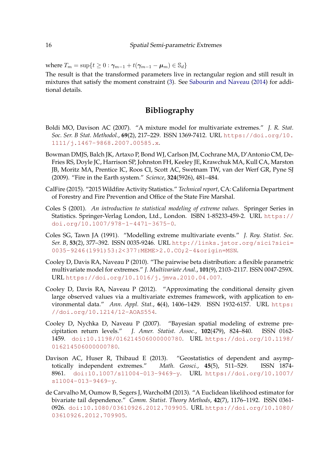where  $T_m = \sup\{t \geq 0 : \gamma_{m-1} + t(\gamma_{m-1} - \mu_m) \in \mathbb{S}_d\}$ 

The result is that the transformed parameters live in rectangular region and still result in mixtures that satisfy the moment constraint [\(3\)](#page-3-1). See [Sabourin and Naveau](#page-17-2) [\(2014\)](#page-17-2) for additional details.

## **Bibliography**

- <span id="page-15-5"></span>Boldi MO, Davison AC (2007). "A mixture model for multivariate extremes." *J. R. Stat. Soc. Ser. B Stat. Methodol.*, **69**(2), 217–229. ISSN 1369-7412. URL [https://doi.org/10.](https://doi.org/10.1111/j.1467-9868.2007.00585.x) [1111/j.1467-9868.2007.00585.x](https://doi.org/10.1111/j.1467-9868.2007.00585.x).
- <span id="page-15-1"></span>Bowman DMJS, Balch JK, Artaxo P, Bond WJ, Carlson JM, Cochrane MA, D'Antonio CM, De-Fries RS, Doyle JC, Harrison SP, Johnston FH, Keeley JE, Krawchuk MA, Kull CA, Marston JB, Moritz MA, Prentice IC, Roos CI, Scott AC, Swetnam TW, van der Werf GR, Pyne SJ (2009). "Fire in the Earth system." *Science*, **324**(5926), 481–484.
- <span id="page-15-0"></span>CalFire (2015). "2015 Wildfire Activity Statistics." *Technical report*, CA: California Department of Forestry and Fire Prevention and Office of the State Fire Marshal.
- <span id="page-15-9"></span>Coles S (2001). *An introduction to statistical modeling of extreme values*. Springer Series in Statistics. Springer-Verlag London, Ltd., London. ISBN 1-85233-459-2. URL [https://](https://doi.org/10.1007/978-1-4471-3675-0) [doi.org/10.1007/978-1-4471-3675-0](https://doi.org/10.1007/978-1-4471-3675-0).
- <span id="page-15-2"></span>Coles SG, Tawn JA (1991). "Modelling extreme multivariate events." *J. Roy. Statist. Soc. Ser. B*, **53**(2), 377–392. ISSN 0035-9246. URL [http://links.jstor.org/sici?sici=](http://links.jstor.org/sici?sici=0035-9246(1991)53:2<377:MEME>2.0.CO;2-4&origin=MSN) [0035-9246\(1991\)53:2<377:MEME>2.0.CO;2-4&origin=MSN](http://links.jstor.org/sici?sici=0035-9246(1991)53:2<377:MEME>2.0.CO;2-4&origin=MSN).
- <span id="page-15-3"></span>Cooley D, Davis RA, Naveau P (2010). "The pairwise beta distribution: a flexible parametric multivariate model for extremes." *J. Multivariate Anal.*, **101**(9), 2103–2117. ISSN 0047-259X. URL <https://doi.org/10.1016/j.jmva.2010.04.007>.
- <span id="page-15-8"></span>Cooley D, Davis RA, Naveau P (2012). "Approximating the conditional density given large observed values via a multivariate extremes framework, with application to environmental data." *Ann. Appl. Stat.*, **6**(4), 1406–1429. ISSN 1932-6157. URL [https:](https://doi.org/10.1214/12-AOAS554) [//doi.org/10.1214/12-AOAS554](https://doi.org/10.1214/12-AOAS554).
- <span id="page-15-6"></span>Cooley D, Nychka D, Naveau P (2007). "Bayesian spatial modeling of extreme precipitation return levels." *J. Amer. Statist. Assoc.*, **102**(479), 824–840. ISSN 0162- 1459. [doi:10.1198/016214506000000780](http://dx.doi.org/10.1198/016214506000000780). URL [https://doi.org/10.1198/](https://doi.org/10.1198/016214506000000780) [016214506000000780](https://doi.org/10.1198/016214506000000780).
- <span id="page-15-7"></span>Davison AC, Huser R, Thibaud E (2013). "Geostatistics of dependent and asymptotically independent extremes." *Math. Geosci.*, **45**(5), 511–529. ISSN 1874- 8961. [doi:10.1007/s11004-013-9469-y](http://dx.doi.org/10.1007/s11004-013-9469-y). URL [https://doi.org/10.1007/](https://doi.org/10.1007/s11004-013-9469-y) [s11004-013-9469-y](https://doi.org/10.1007/s11004-013-9469-y).
- <span id="page-15-4"></span>de Carvalho M, Oumow B, Segers J, WarchołM (2013). "A Euclidean likelihood estimator for bivariate tail dependence." *Comm. Statist. Theory Methods*, **42**(7), 1176–1192. ISSN 0361- 0926. [doi:10.1080/03610926.2012.709905](http://dx.doi.org/10.1080/03610926.2012.709905). URL [https://doi.org/10.1080/](https://doi.org/10.1080/03610926.2012.709905) [03610926.2012.709905](https://doi.org/10.1080/03610926.2012.709905).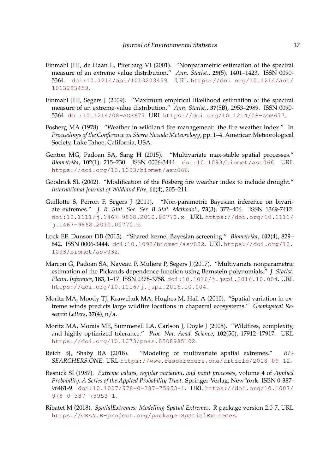- <span id="page-16-3"></span>Einmahl JHJ, de Haan L, Piterbarg VI (2001). "Nonparametric estimation of the spectral measure of an extreme value distribution." *Ann. Statist.*, **29**(5), 1401–1423. ISSN 0090- 5364. [doi:10.1214/aos/1013203459](http://dx.doi.org/10.1214/aos/1013203459). URL [https://doi.org/10.1214/aos/](https://doi.org/10.1214/aos/1013203459) [1013203459](https://doi.org/10.1214/aos/1013203459).
- <span id="page-16-4"></span>Einmahl JHJ, Segers J (2009). "Maximum empirical likelihood estimation of the spectral measure of an extreme-value distribution." *Ann. Statist.*, **37**(5B), 2953–2989. ISSN 0090- 5364. [doi:10.1214/08-AOS677](http://dx.doi.org/10.1214/08-AOS677). URL <https://doi.org/10.1214/08-AOS677>.
- <span id="page-16-1"></span>Fosberg MA (1978). "Weather in wildland fire management: the fire weather index." In *Proceedings of the Conference on Sierra Nevada Meteorology*, pp. 1–4. American Meteorological Society, Lake Tahoe, California, USA.
- <span id="page-16-7"></span>Genton MG, Padoan SA, Sang H (2015). "Multivariate max-stable spatial processes." *Biometrika*, **102**(1), 215–230. ISSN 0006-3444. [doi:10.1093/biomet/asu066](http://dx.doi.org/10.1093/biomet/asu066). URL <https://doi.org/10.1093/biomet/asu066>.
- <span id="page-16-12"></span>Goodrick SL (2002). "Modification of the Fosberg fire weather index to include drought." *International Journal of Wildland Fire*, **11**(4), 205–211.
- <span id="page-16-5"></span>Guillotte S, Perron F, Segers J (2011). "Non-parametric Bayesian inference on bivariate extremes." *J. R. Stat. Soc. Ser. B Stat. Methodol.*, **73**(3), 377–406. ISSN 1369-7412. [doi:10.1111/j.1467-9868.2010.00770.x](http://dx.doi.org/10.1111/j.1467-9868.2010.00770.x). URL [https://doi.org/10.1111/](https://doi.org/10.1111/j.1467-9868.2010.00770.x) [j.1467-9868.2010.00770.x](https://doi.org/10.1111/j.1467-9868.2010.00770.x).
- <span id="page-16-10"></span>Lock EF, Dunson DB (2015). "Shared kernel Bayesian screening." *Biometrika*, **102**(4), 829– 842. ISSN 0006-3444. [doi:10.1093/biomet/asv032](http://dx.doi.org/10.1093/biomet/asv032). URL [https://doi.org/10.](https://doi.org/10.1093/biomet/asv032) [1093/biomet/asv032](https://doi.org/10.1093/biomet/asv032).
- <span id="page-16-6"></span>Marcon G, Padoan SA, Naveau P, Muliere P, Segers J (2017). "Multivariate nonparametric estimation of the Pickands dependence function using Bernstein polynomials." *J. Statist. Plann. Inference*, **183**, 1–17. ISSN 0378-3758. [doi:10.1016/j.jspi.2016.10.004](http://dx.doi.org/10.1016/j.jspi.2016.10.004). URL <https://doi.org/10.1016/j.jspi.2016.10.004>.
- <span id="page-16-2"></span>Moritz MA, Moody TJ, Krawchuk MA, Hughes M, Hall A (2010). "Spatial variation in extreme winds predicts large wildfire locations in chaparral ecosystems." *Geophysical Research Letters*, **37**(4), n/a.
- <span id="page-16-0"></span>Moritz MA, Morais ME, Summerell LA, Carlson J, Doyle J (2005). "Wildfires, complexity, and highly optimized tolerance." *Proc. Nat. Acad. Science*, **102**(50), 17912–17917. URL <https://doi.org/10.1073/pnas.0508985102>.
- <span id="page-16-8"></span>Reich BJ, Shaby BA (2018). "Modeling of multivariate spatial extremes." *RE-SEARCHERS.ONE*. URL <https://www.researchers.one/article/2018-09-12>.
- <span id="page-16-9"></span>Resnick SI (1987). *Extreme values, regular variation, and point processes*, volume 4 of *Applied Probability. A Series of the Applied Probability Trust*. Springer-Verlag, New York. ISBN 0-387- 96481-9. [doi:10.1007/978-0-387-75953-1](http://dx.doi.org/10.1007/978-0-387-75953-1). URL [https://doi.org/10.1007/](https://doi.org/10.1007/978-0-387-75953-1) [978-0-387-75953-1](https://doi.org/10.1007/978-0-387-75953-1).
- <span id="page-16-11"></span>Ribatet M (2018). *SpatialExtremes: Modelling Spatial Extremes*. R package version 2.0-7, URL <https://CRAN.R-project.org/package=SpatialExtremes>.